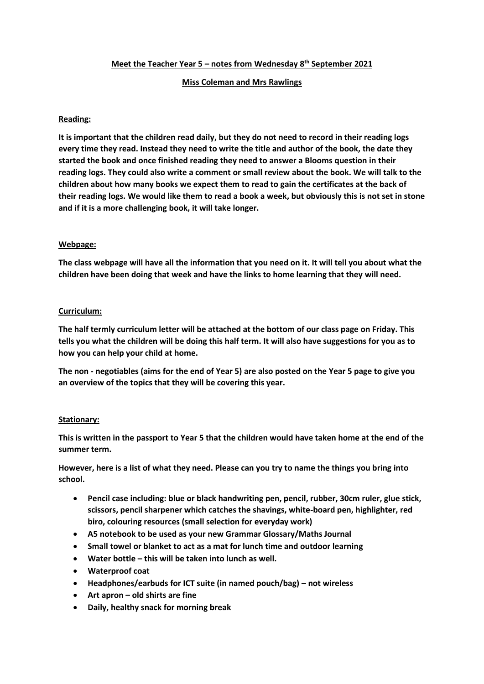**Meet the Teacher Year 5 – notes from Wednesday 8 th September 2021**

## **Miss Coleman and Mrs Rawlings**

# **Reading:**

**It is important that the children read daily, but they do not need to record in their reading logs every time they read. Instead they need to write the title and author of the book, the date they started the book and once finished reading they need to answer a Blooms question in their reading logs. They could also write a comment or small review about the book. We will talk to the children about how many books we expect them to read to gain the certificates at the back of their reading logs. We would like them to read a book a week, but obviously this is not set in stone and if it is a more challenging book, it will take longer.** 

# **Webpage:**

**The class webpage will have all the information that you need on it. It will tell you about what the children have been doing that week and have the links to home learning that they will need.**

### **Curriculum:**

**The half termly curriculum letter will be attached at the bottom of our class page on Friday. This tells you what the children will be doing this half term. It will also have suggestions for you as to how you can help your child at home.** 

**The non - negotiables (aims for the end of Year 5) are also posted on the Year 5 page to give you an overview of the topics that they will be covering this year.** 

### **Stationary:**

**This is written in the passport to Year 5 that the children would have taken home at the end of the summer term.**

**However, here is a list of what they need. Please can you try to name the things you bring into school.**

- **Pencil case including: blue or black handwriting pen, pencil, rubber, 30cm ruler, glue stick, scissors, pencil sharpener which catches the shavings, white-board pen, highlighter, red biro, colouring resources (small selection for everyday work)**
- **A5 notebook to be used as your new Grammar Glossary/Maths Journal**
- **Small towel or blanket to act as a mat for lunch time and outdoor learning**
- **Water bottle – this will be taken into lunch as well.**
- **Waterproof coat**
- **Headphones/earbuds for ICT suite (in named pouch/bag) – not wireless**
- **Art apron – old shirts are fine**
- **Daily, healthy snack for morning break**